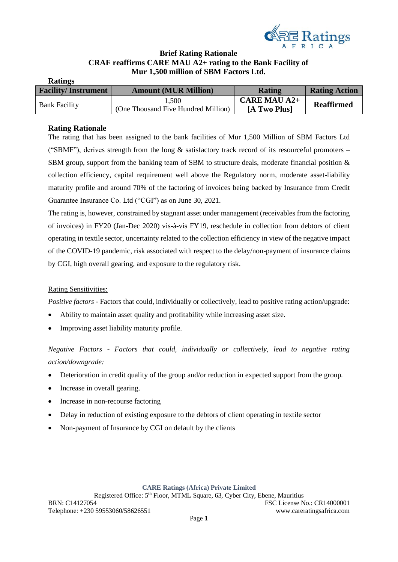

# **Brief Rating Rationale CRAF reaffirms CARE MAU A2+ rating to the Bank Facility of Mur 1,500 million of SBM Factors Ltd.**

| <b>Facility/Instrument</b> | <b>Amount (MUR Million)</b>         | <b>Rating</b>       | <b>Rating Action</b> |
|----------------------------|-------------------------------------|---------------------|----------------------|
| <b>Bank Facility</b>       | 1,500                               | <b>CARE MAU A2+</b> | <b>Reaffirmed</b>    |
|                            | (One Thousand Five Hundred Million) | [A Two Plus]        |                      |

## **Rating Rationale**

The rating that has been assigned to the bank facilities of Mur 1,500 Million of SBM Factors Ltd ("SBMF"), derives strength from the long  $\&$  satisfactory track record of its resourceful promoters – SBM group, support from the banking team of SBM to structure deals, moderate financial position & collection efficiency, capital requirement well above the Regulatory norm, moderate asset-liability maturity profile and around 70% of the factoring of invoices being backed by Insurance from Credit Guarantee Insurance Co. Ltd ("CGI") as on June 30, 2021.

The rating is, however, constrained by stagnant asset under management (receivables from the factoring of invoices) in FY20 (Jan-Dec 2020) vis-à-vis FY19, reschedule in collection from debtors of client operating in textile sector, uncertainty related to the collection efficiency in view of the negative impact of the COVID-19 pandemic, risk associated with respect to the delay/non-payment of insurance claims by CGI, high overall gearing, and exposure to the regulatory risk.

## Rating Sensitivities:

*Positive factors* - Factors that could, individually or collectively, lead to positive rating action/upgrade:

- Ability to maintain asset quality and profitability while increasing asset size.
- Improving asset liability maturity profile.

*Negative Factors - Factors that could, individually or collectively, lead to negative rating action/downgrade:*

- Deterioration in credit quality of the group and/or reduction in expected support from the group.
- Increase in overall gearing.
- Increase in non-recourse factoring
- Delay in reduction of existing exposure to the debtors of client operating in textile sector
- Non-payment of Insurance by CGI on default by the clients

#### **CARE Ratings (Africa) Private Limited**

Registered Office: 5th Floor, MTML Square, 63, Cyber City, Ebene, Mauritius BRN: C14127054 FSC License No.: CR14000001 Telephone: +230 59553060/58626551 www.careratingsafrica.com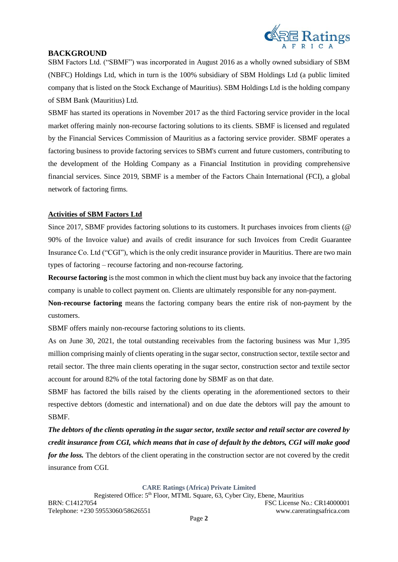

## **BACKGROUND**

SBM Factors Ltd. ("SBMF") was incorporated in August 2016 as a wholly owned subsidiary of SBM (NBFC) Holdings Ltd, which in turn is the 100% subsidiary of SBM Holdings Ltd (a public limited company that is listed on the Stock Exchange of Mauritius). SBM Holdings Ltd is the holding company of SBM Bank (Mauritius) Ltd.

SBMF has started its operations in November 2017 as the third Factoring service provider in the local market offering mainly non-recourse factoring solutions to its clients. SBMF is licensed and regulated by the Financial Services Commission of Mauritius as a factoring service provider. SBMF operates a factoring business to provide factoring services to SBM's current and future customers, contributing to the development of the Holding Company as a Financial Institution in providing comprehensive financial services. Since 2019, SBMF is a member of the Factors Chain International (FCI), a global network of factoring firms.

## **Activities of SBM Factors Ltd**

Since 2017, SBMF provides factoring solutions to its customers. It purchases invoices from clients (@ 90% of the Invoice value) and avails of credit insurance for such Invoices from Credit Guarantee Insurance Co. Ltd ("CGI"), which is the only credit insurance provider in Mauritius. There are two main types of factoring – recourse factoring and non-recourse factoring.

**Recourse factoring** is the most common in which the client must buy back any invoice that the factoring company is unable to collect payment on. Clients are ultimately responsible for any non-payment.

**Non-recourse factoring** means the factoring company bears the entire risk of non-payment by the customers.

SBMF offers mainly non-recourse factoring solutions to its clients.

As on June 30, 2021, the total outstanding receivables from the factoring business was Mur 1,395 million comprising mainly of clients operating in the sugar sector, construction sector, textile sector and retail sector. The three main clients operating in the sugar sector, construction sector and textile sector account for around 82% of the total factoring done by SBMF as on that date.

SBMF has factored the bills raised by the clients operating in the aforementioned sectors to their respective debtors (domestic and international) and on due date the debtors will pay the amount to SBMF.

*The debtors of the clients operating in the sugar sector, textile sector and retail sector are covered by credit insurance from CGI, which means that in case of default by the debtors, CGI will make good for the loss.* The debtors of the client operating in the construction sector are not covered by the credit insurance from CGI.

### **CARE Ratings (Africa) Private Limited**

Registered Office:  $5<sup>th</sup>$  Floor, MTML Square, 63, Cyber City, Ebene, Mauritius BRN: C14127054 FSC License No.: CR14000001 Telephone: +230 59553060/58626551 www.careratingsafrica.com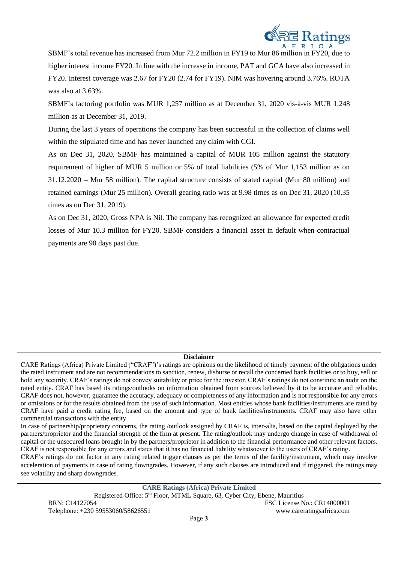

SBMF's total revenue has increased from Mur 72.2 million in FY19 to Mur 86 million in FY20, due to higher interest income FY20. In line with the increase in income, PAT and GCA have also increased in FY20. Interest coverage was 2.67 for FY20 (2.74 for FY19). NIM was hovering around 3.76%. ROTA was also at 3.63%.

SBMF's factoring portfolio was MUR 1,257 million as at December 31, 2020 vis-à-vis MUR 1,248 million as at December 31, 2019.

During the last 3 years of operations the company has been successful in the collection of claims well within the stipulated time and has never launched any claim with CGI.

As on Dec 31, 2020, SBMF has maintained a capital of MUR 105 million against the statutory requirement of higher of MUR 5 million or 5% of total liabilities (5% of Mur 1,153 million as on 31.12.2020 – Mur 58 million). The capital structure consists of stated capital (Mur 80 million) and retained earnings (Mur 25 million). Overall gearing ratio was at 9.98 times as on Dec 31, 2020 (10.35 times as on Dec 31, 2019).

As on Dec 31, 2020, Gross NPA is Nil. The company has recognized an allowance for expected credit losses of Mur 10.3 million for FY20. SBMF considers a financial asset in default when contractual payments are 90 days past due.

### **Disclaimer**

CARE Ratings (Africa) Private Limited ("CRAF")'s ratings are opinions on the likelihood of timely payment of the obligations under the rated instrument and are not recommendations to sanction, renew, disburse or recall the concerned bank facilities or to buy, sell or hold any security. CRAF's ratings do not convey suitability or price for the investor. CRAF's ratings do not constitute an audit on the rated entity. CRAF has based its ratings/outlooks on information obtained from sources believed by it to be accurate and reliable. CRAF does not, however, guarantee the accuracy, adequacy or completeness of any information and is not responsible for any errors or omissions or for the results obtained from the use of such information. Most entities whose bank facilities/instruments are rated by CRAF have paid a credit rating fee, based on the amount and type of bank facilities/instruments. CRAF may also have other commercial transactions with the entity.

In case of partnership/proprietary concerns, the rating /outlook assigned by CRAF is, inter-alia, based on the capital deployed by the partners/proprietor and the financial strength of the firm at present. The rating/outlook may undergo change in case of withdrawal of capital or the unsecured loans brought in by the partners/proprietor in addition to the financial performance and other relevant factors. CRAF is not responsible for any errors and states that it has no financial liability whatsoever to the users of CRAF's rating.

CRAF's ratings do not factor in any rating related trigger clauses as per the terms of the facility/instrument, which may involve acceleration of payments in case of rating downgrades. However, if any such clauses are introduced and if triggered, the ratings may see volatility and sharp downgrades.

**CARE Ratings (Africa) Private Limited** Registered Office: 5th Floor, MTML Square, 63, Cyber City, Ebene, Mauritius BRN: C14127054 FSC License No.: CR14000001 Telephone: +230 59553060/58626551 www.careratingsafrica.com